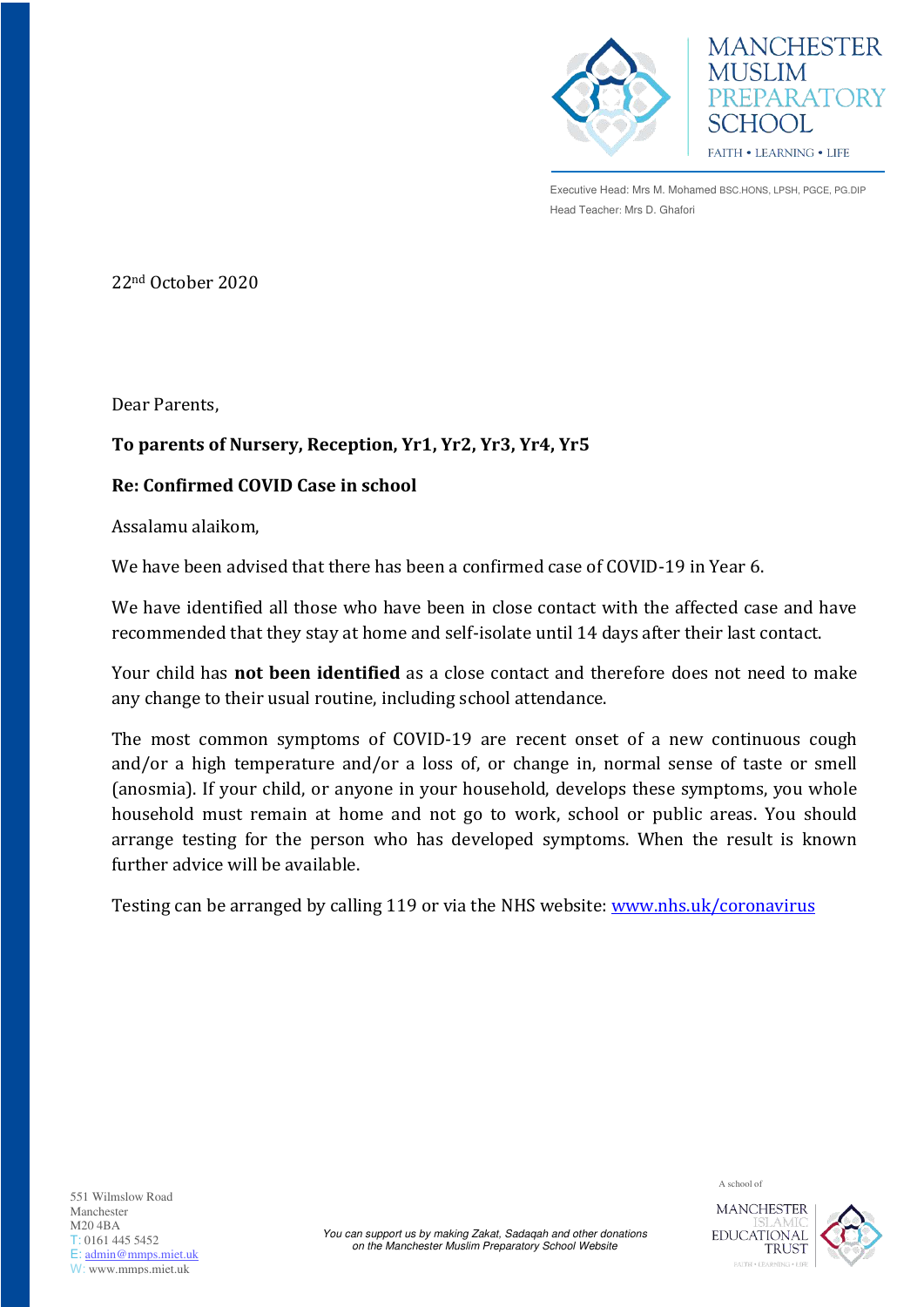

Executive Head: Mrs M. Mohamed BSC.HONS, LPSH, PGCE, PG.DIP Head Teacher: Mrs D. Ghafori

**MANCHESTER** 

PREPARATORY

**MUSLIM** 

SCHOOL

**FAITH • LEARNING • LIFE** 

22nd October 2020

Dear Parents,

## **To parents of Nursery, Reception, Yr1, Yr2, Yr3, Yr4, Yr5**

## **Re: Confirmed COVID Case in school**

Assalamu alaikom,

We have been advised that there has been a confirmed case of COVID-19 in Year 6.

We have identified all those who have been in close contact with the affected case and have recommended that they stay at home and self-isolate until 14 days after their last contact.

Your child has **not been identified** as a close contact and therefore does not need to make any change to their usual routine, including school attendance.

The most common symptoms of COVID-19 are recent onset of a new continuous cough and/or a high temperature and/or a loss of, or change in, normal sense of taste or smell (anosmia). If your child, or anyone in your household, develops these symptoms, you whole household must remain at home and not go to work, school or public areas. You should arrange testing for the person who has developed symptoms. When the result is known further advice will be available.

Testing can be arranged by calling 119 or via the NHS website: [www.nhs.uk/coronavirus](http://www.nhs.uk/coronavirus) 

A school of